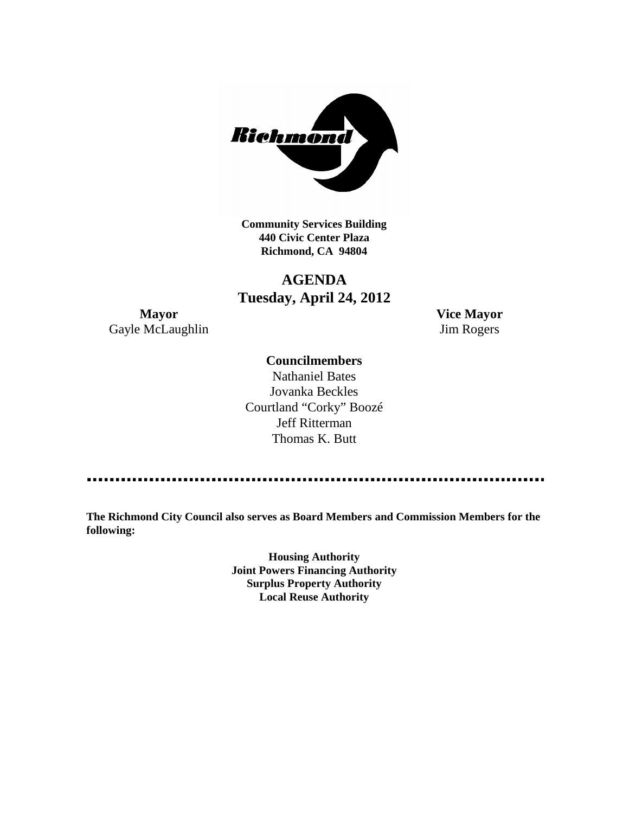

**Community Services Building 440 Civic Center Plaza Richmond, CA 94804**

# **AGENDA Tuesday, April 24, 2012**

**Mayor Vice Mayor** Gayle McLaughlin Jim Rogers

### **Councilmembers**

Nathaniel Bates Jovanka Beckles Courtland "Corky" Boozé Jeff Ritterman Thomas K. Butt

**The Richmond City Council also serves as Board Members and Commission Members for the following:**

> **Housing Authority Joint Powers Financing Authority Surplus Property Authority Local Reuse Authority**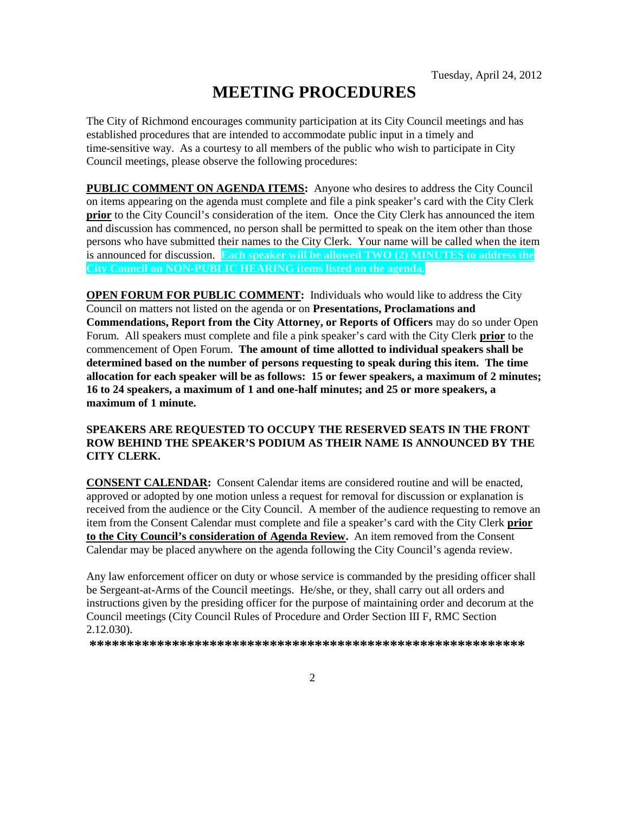# **MEETING PROCEDURES**

The City of Richmond encourages community participation at its City Council meetings and has established procedures that are intended to accommodate public input in a timely and time-sensitive way. As a courtesy to all members of the public who wish to participate in City Council meetings, please observe the following procedures:

**PUBLIC COMMENT ON AGENDA ITEMS:** Anyone who desires to address the City Council on items appearing on the agenda must complete and file a pink speaker's card with the City Clerk **prior** to the City Council's consideration of the item. Once the City Clerk has announced the item and discussion has commenced, no person shall be permitted to speak on the item other than those persons who have submitted their names to the City Clerk. Your name will be called when the item is announced for discussion. **Each speaker will be allowed TWO (2) MINUTES to address the City Council on NON-PUBLIC HEARING items listed on the agenda.**

**OPEN FORUM FOR PUBLIC COMMENT:** Individuals who would like to address the City Council on matters not listed on the agenda or on **Presentations, Proclamations and Commendations, Report from the City Attorney, or Reports of Officers** may do so under Open Forum. All speakers must complete and file a pink speaker's card with the City Clerk **prior** to the commencement of Open Forum. **The amount of time allotted to individual speakers shall be determined based on the number of persons requesting to speak during this item. The time allocation for each speaker will be as follows: 15 or fewer speakers, a maximum of 2 minutes; 16 to 24 speakers, a maximum of 1 and one-half minutes; and 25 or more speakers, a maximum of 1 minute.**

#### **SPEAKERS ARE REQUESTED TO OCCUPY THE RESERVED SEATS IN THE FRONT ROW BEHIND THE SPEAKER'S PODIUM AS THEIR NAME IS ANNOUNCED BY THE CITY CLERK.**

**CONSENT CALENDAR:** Consent Calendar items are considered routine and will be enacted, approved or adopted by one motion unless a request for removal for discussion or explanation is received from the audience or the City Council. A member of the audience requesting to remove an item from the Consent Calendar must complete and file a speaker's card with the City Clerk **prior to the City Council's consideration of Agenda Review.** An item removed from the Consent Calendar may be placed anywhere on the agenda following the City Council's agenda review.

Any law enforcement officer on duty or whose service is commanded by the presiding officer shall be Sergeant-at-Arms of the Council meetings. He/she, or they, shall carry out all orders and instructions given by the presiding officer for the purpose of maintaining order and decorum at the Council meetings (City Council Rules of Procedure and Order Section III F, RMC Section 2.12.030).

**\*\*\*\*\*\*\*\*\*\*\*\*\*\*\*\*\*\*\*\*\*\*\*\*\*\*\*\*\*\*\*\*\*\*\*\*\*\*\*\*\*\*\*\*\*\*\*\*\*\*\*\*\*\*\*\*\*\***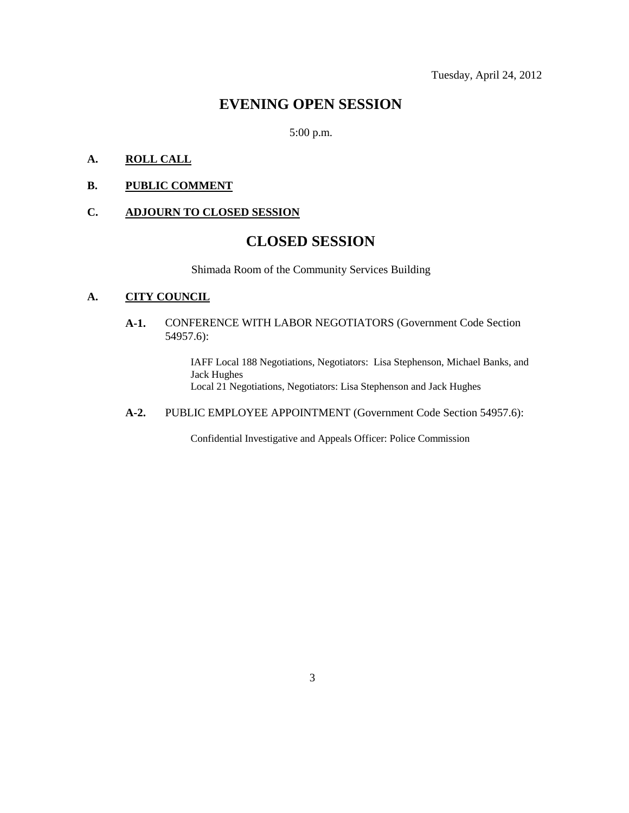Tuesday, April 24, 2012

### **EVENING OPEN SESSION**

5:00 p.m.

### **A. ROLL CALL**

#### **B. PUBLIC COMMENT**

#### **C. ADJOURN TO CLOSED SESSION**

### **CLOSED SESSION**

Shimada Room of the Community Services Building

#### **A. CITY COUNCIL**

**A-1.** CONFERENCE WITH LABOR NEGOTIATORS (Government Code Section 54957.6):

> IAFF Local 188 Negotiations, Negotiators: Lisa Stephenson, Michael Banks, and Jack Hughes Local 21 Negotiations, Negotiators: Lisa Stephenson and Jack Hughes

**A-2.** PUBLIC EMPLOYEE APPOINTMENT (Government Code Section 54957.6):

Confidential Investigative and Appeals Officer: Police Commission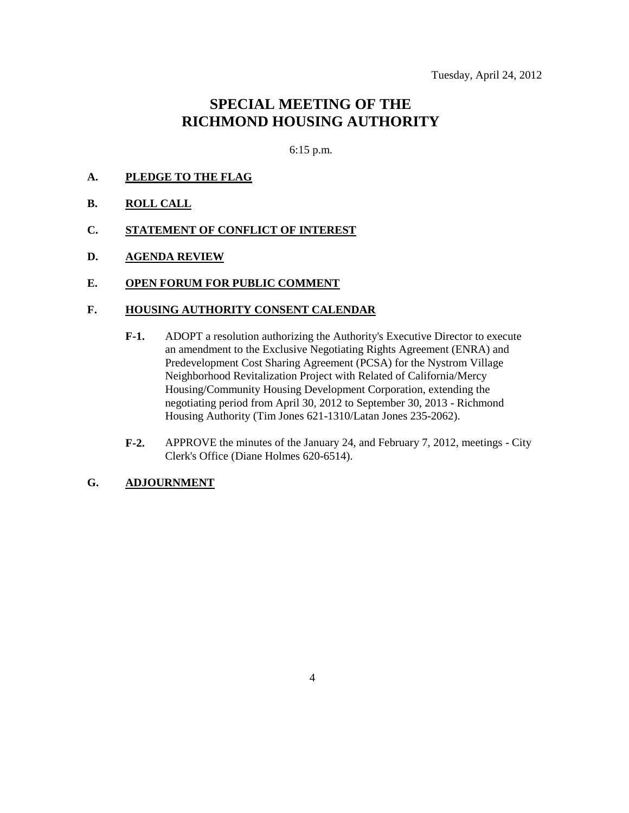## **SPECIAL MEETING OF THE RICHMOND HOUSING AUTHORITY**

6:15 p.m.

- **A. PLEDGE TO THE FLAG**
- **B. ROLL CALL**
- **C. STATEMENT OF CONFLICT OF INTEREST**
- **D. AGENDA REVIEW**

#### **E. OPEN FORUM FOR PUBLIC COMMENT**

#### **F. HOUSING AUTHORITY CONSENT CALENDAR**

- **F-1.** ADOPT a resolution authorizing the Authority's Executive Director to execute an amendment to the Exclusive Negotiating Rights Agreement (ENRA) and Predevelopment Cost Sharing Agreement (PCSA) for the Nystrom Village Neighborhood Revitalization Project with Related of California/Mercy Housing/Community Housing Development Corporation, extending the negotiating period from April 30, 2012 to September 30, 2013 - Richmond Housing Authority (Tim Jones 621-1310/Latan Jones 235-2062).
- **F-2.** APPROVE the minutes of the January 24, and February 7, 2012, meetings City Clerk's Office (Diane Holmes 620-6514).

#### **G. ADJOURNMENT**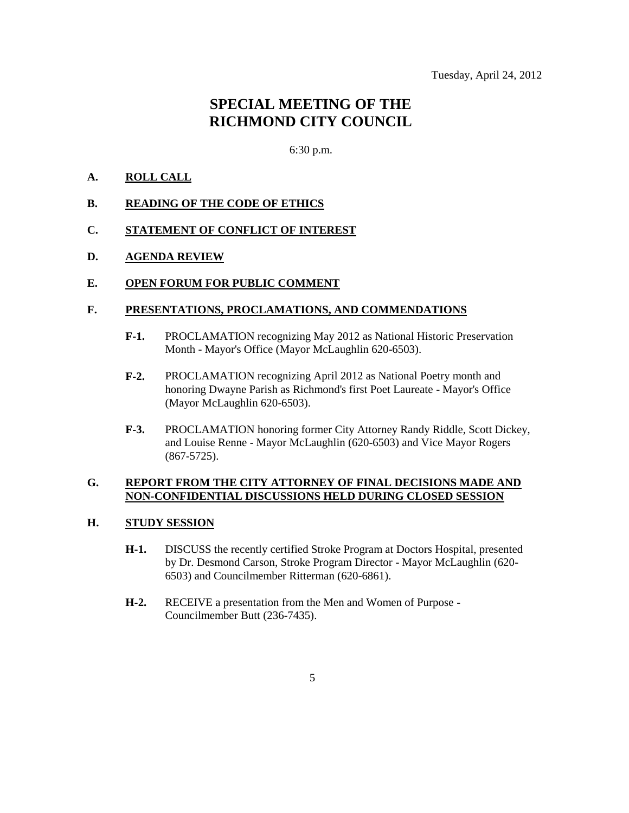## **SPECIAL MEETING OF THE RICHMOND CITY COUNCIL**

6:30 p.m.

#### **A. ROLL CALL**

- **B. READING OF THE CODE OF ETHICS**
- **C. STATEMENT OF CONFLICT OF INTEREST**
- **D. AGENDA REVIEW**

#### **E. OPEN FORUM FOR PUBLIC COMMENT**

#### **F. PRESENTATIONS, PROCLAMATIONS, AND COMMENDATIONS**

- **F-1.** PROCLAMATION recognizing May 2012 as National Historic Preservation Month - Mayor's Office (Mayor McLaughlin 620-6503).
- **F-2.** PROCLAMATION recognizing April 2012 as National Poetry month and honoring Dwayne Parish as Richmond's first Poet Laureate - Mayor's Office (Mayor McLaughlin 620-6503).
- **F-3.** PROCLAMATION honoring former City Attorney Randy Riddle, Scott Dickey, and Louise Renne - Mayor McLaughlin (620-6503) and Vice Mayor Rogers (867-5725).

#### **G. REPORT FROM THE CITY ATTORNEY OF FINAL DECISIONS MADE AND NON-CONFIDENTIAL DISCUSSIONS HELD DURING CLOSED SESSION**

#### **H. STUDY SESSION**

- **H-1.** DISCUSS the recently certified Stroke Program at Doctors Hospital, presented by Dr. Desmond Carson, Stroke Program Director - Mayor McLaughlin (620- 6503) and Councilmember Ritterman (620-6861).
- **H-2.** RECEIVE a presentation from the Men and Women of Purpose Councilmember Butt (236-7435).